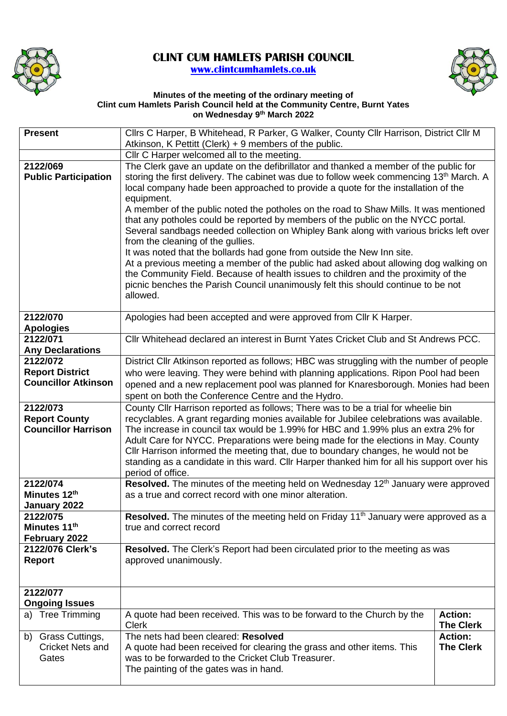

## **CLINT CUM HAMLETS PARISH COUNCIL [www.clintcumhamlets.co.uk](http://www.clintcumhamlets.co.uk/)**



## **Minutes of the meeting of the ordinary meeting of Clint cum Hamlets Parish Council held at the Community Centre, Burnt Yates on Wednesday 9 th March 2022**

| <b>Present</b>                      | Cllrs C Harper, B Whitehead, R Parker, G Walker, County Cllr Harrison, District Cllr M                                                                                                                                                                                                                                                                |                                    |  |
|-------------------------------------|-------------------------------------------------------------------------------------------------------------------------------------------------------------------------------------------------------------------------------------------------------------------------------------------------------------------------------------------------------|------------------------------------|--|
|                                     | Atkinson, K Pettitt (Clerk) + 9 members of the public.                                                                                                                                                                                                                                                                                                |                                    |  |
| 2122/069                            | Cllr C Harper welcomed all to the meeting.<br>The Clerk gave an update on the defibrillator and thanked a member of the public for                                                                                                                                                                                                                    |                                    |  |
| <b>Public Participation</b>         | storing the first delivery. The cabinet was due to follow week commencing 13 <sup>th</sup> March. A<br>local company hade been approached to provide a quote for the installation of the<br>equipment.                                                                                                                                                |                                    |  |
|                                     | A member of the public noted the potholes on the road to Shaw Mills. It was mentioned<br>that any potholes could be reported by members of the public on the NYCC portal.<br>Several sandbags needed collection on Whipley Bank along with various bricks left over<br>from the cleaning of the gullies.                                              |                                    |  |
|                                     | It was noted that the bollards had gone from outside the New Inn site.<br>At a previous meeting a member of the public had asked about allowing dog walking on<br>the Community Field. Because of health issues to children and the proximity of the<br>picnic benches the Parish Council unanimously felt this should continue to be not<br>allowed. |                                    |  |
| 2122/070<br><b>Apologies</b>        | Apologies had been accepted and were approved from Cllr K Harper.                                                                                                                                                                                                                                                                                     |                                    |  |
| 2122/071<br><b>Any Declarations</b> | CIIr Whitehead declared an interest in Burnt Yates Cricket Club and St Andrews PCC.                                                                                                                                                                                                                                                                   |                                    |  |
| 2122/072                            | District Cllr Atkinson reported as follows; HBC was struggling with the number of people                                                                                                                                                                                                                                                              |                                    |  |
| <b>Report District</b>              | who were leaving. They were behind with planning applications. Ripon Pool had been                                                                                                                                                                                                                                                                    |                                    |  |
| <b>Councillor Atkinson</b>          | opened and a new replacement pool was planned for Knaresborough. Monies had been<br>spent on both the Conference Centre and the Hydro.                                                                                                                                                                                                                |                                    |  |
| 2122/073                            | County Cllr Harrison reported as follows; There was to be a trial for wheelie bin                                                                                                                                                                                                                                                                     |                                    |  |
| <b>Report County</b>                | recyclables. A grant regarding monies available for Jubilee celebrations was available.                                                                                                                                                                                                                                                               |                                    |  |
| <b>Councillor Harrison</b>          | The increase in council tax would be 1.99% for HBC and 1.99% plus an extra 2% for                                                                                                                                                                                                                                                                     |                                    |  |
|                                     | Adult Care for NYCC. Preparations were being made for the elections in May. County<br>Cllr Harrison informed the meeting that, due to boundary changes, he would not be                                                                                                                                                                               |                                    |  |
|                                     | standing as a candidate in this ward. Cllr Harper thanked him for all his support over his                                                                                                                                                                                                                                                            |                                    |  |
|                                     | period of office.                                                                                                                                                                                                                                                                                                                                     |                                    |  |
| 2122/074                            | Resolved. The minutes of the meeting held on Wednesday 12 <sup>th</sup> January were approved                                                                                                                                                                                                                                                         |                                    |  |
| Minutes 12th                        | as a true and correct record with one minor alteration.                                                                                                                                                                                                                                                                                               |                                    |  |
| January 2022                        |                                                                                                                                                                                                                                                                                                                                                       |                                    |  |
| 2122/075<br>Minutes 11th            | <b>Resolved.</b> The minutes of the meeting held on Friday $11th$ January were approved as a                                                                                                                                                                                                                                                          |                                    |  |
| February 2022                       | true and correct record                                                                                                                                                                                                                                                                                                                               |                                    |  |
| 2122/076 Clerk's                    | Resolved. The Clerk's Report had been circulated prior to the meeting as was                                                                                                                                                                                                                                                                          |                                    |  |
| <b>Report</b>                       | approved unanimously.                                                                                                                                                                                                                                                                                                                                 |                                    |  |
|                                     |                                                                                                                                                                                                                                                                                                                                                       |                                    |  |
| <b>Ongoing Issues</b>               | 2122/077                                                                                                                                                                                                                                                                                                                                              |                                    |  |
| a) Tree Trimming                    | A quote had been received. This was to be forward to the Church by the<br><b>Clerk</b>                                                                                                                                                                                                                                                                | <b>Action:</b><br><b>The Clerk</b> |  |
| b) Grass Cuttings,                  | The nets had been cleared: Resolved                                                                                                                                                                                                                                                                                                                   | <b>Action:</b>                     |  |
| <b>Cricket Nets and</b><br>Gates    | A quote had been received for clearing the grass and other items. This<br>was to be forwarded to the Cricket Club Treasurer.<br>The painting of the gates was in hand.                                                                                                                                                                                | <b>The Clerk</b>                   |  |
|                                     |                                                                                                                                                                                                                                                                                                                                                       |                                    |  |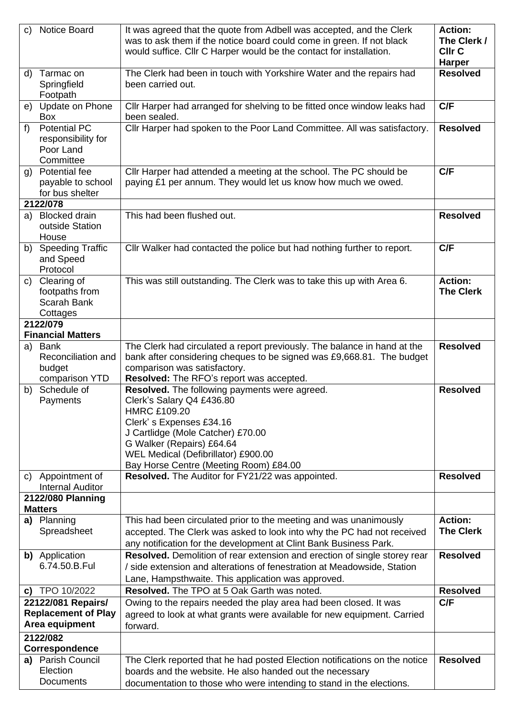| C)    | <b>Notice Board</b>             | It was agreed that the quote from Adbell was accepted, and the Clerk                                                                              | <b>Action:</b><br>The Clerk / |
|-------|---------------------------------|---------------------------------------------------------------------------------------------------------------------------------------------------|-------------------------------|
|       |                                 | was to ask them if the notice board could come in green. If not black<br>would suffice. Cllr C Harper would be the contact for installation.      | <b>CIIr C</b>                 |
|       |                                 |                                                                                                                                                   | <b>Harper</b>                 |
|       | d) Tarmac on                    | The Clerk had been in touch with Yorkshire Water and the repairs had                                                                              | <b>Resolved</b>               |
|       | Springfield                     | been carried out.                                                                                                                                 |                               |
|       | Footpath                        |                                                                                                                                                   |                               |
|       | e) Update on Phone              | Cllr Harper had arranged for shelving to be fitted once window leaks had                                                                          | C/F                           |
|       | Box                             | been sealed.                                                                                                                                      |                               |
| $f$ ) | <b>Potential PC</b>             | Cllr Harper had spoken to the Poor Land Committee. All was satisfactory.                                                                          | <b>Resolved</b>               |
|       | responsibility for<br>Poor Land |                                                                                                                                                   |                               |
|       | Committee                       |                                                                                                                                                   |                               |
|       | g) Potential fee                | Cllr Harper had attended a meeting at the school. The PC should be                                                                                | C/F                           |
|       | payable to school               | paying £1 per annum. They would let us know how much we owed.                                                                                     |                               |
|       | for bus shelter                 |                                                                                                                                                   |                               |
|       | 2122/078                        |                                                                                                                                                   |                               |
|       | a) Blocked drain                | This had been flushed out.                                                                                                                        | <b>Resolved</b>               |
|       | outside Station                 |                                                                                                                                                   |                               |
|       | House                           |                                                                                                                                                   |                               |
|       | b) Speeding Traffic             | Cllr Walker had contacted the police but had nothing further to report.                                                                           | C/F                           |
|       | and Speed<br>Protocol           |                                                                                                                                                   |                               |
| C)    | Clearing of                     | This was still outstanding. The Clerk was to take this up with Area 6.                                                                            | <b>Action:</b>                |
|       | footpaths from                  |                                                                                                                                                   | <b>The Clerk</b>              |
|       | Scarah Bank                     |                                                                                                                                                   |                               |
|       | Cottages                        |                                                                                                                                                   |                               |
|       | 2122/079                        |                                                                                                                                                   |                               |
|       | <b>Financial Matters</b>        |                                                                                                                                                   | <b>Resolved</b>               |
|       | a) Bank<br>Reconciliation and   | The Clerk had circulated a report previously. The balance in hand at the<br>bank after considering cheques to be signed was £9,668.81. The budget |                               |
|       | budget                          | comparison was satisfactory.                                                                                                                      |                               |
|       | comparison YTD                  | Resolved: The RFO's report was accepted.                                                                                                          |                               |
|       | b) Schedule of                  | Resolved. The following payments were agreed.                                                                                                     | <b>Resolved</b>               |
|       | Payments                        | Clerk's Salary Q4 £436.80                                                                                                                         |                               |
|       |                                 | <b>HMRC £109.20</b>                                                                                                                               |                               |
|       |                                 | Clerk's Expenses £34.16                                                                                                                           |                               |
|       |                                 | J Cartlidge (Mole Catcher) £70.00<br>G Walker (Repairs) £64.64                                                                                    |                               |
|       |                                 | WEL Medical (Defibrillator) £900.00                                                                                                               |                               |
|       |                                 | Bay Horse Centre (Meeting Room) £84.00                                                                                                            |                               |
|       | c) Appointment of               | Resolved. The Auditor for FY21/22 was appointed.                                                                                                  | <b>Resolved</b>               |
|       | <b>Internal Auditor</b>         |                                                                                                                                                   |                               |
|       | 2122/080 Planning               |                                                                                                                                                   |                               |
|       | <b>Matters</b>                  |                                                                                                                                                   | <b>Action:</b>                |
|       | a) Planning<br>Spreadsheet      | This had been circulated prior to the meeting and was unanimously<br>accepted. The Clerk was asked to look into why the PC had not received       | <b>The Clerk</b>              |
|       |                                 | any notification for the development at Clint Bank Business Park.                                                                                 |                               |
|       | b) Application                  | Resolved. Demolition of rear extension and erection of single storey rear                                                                         | <b>Resolved</b>               |
|       | 6.74.50.B.Ful                   | / side extension and alterations of fenestration at Meadowside, Station                                                                           |                               |
|       |                                 | Lane, Hampsthwaite. This application was approved.                                                                                                |                               |
| C)    | TPO 10/2022                     | <b>Resolved.</b> The TPO at 5 Oak Garth was noted.                                                                                                | <b>Resolved</b>               |
|       | 22122/081 Repairs/              | Owing to the repairs needed the play area had been closed. It was                                                                                 | C/F                           |
|       | <b>Replacement of Play</b>      | agreed to look at what grants were available for new equipment. Carried                                                                           |                               |
|       | Area equipment                  | forward.                                                                                                                                          |                               |
|       | 2122/082                        |                                                                                                                                                   |                               |
|       | Correspondence                  |                                                                                                                                                   |                               |
|       | a) Parish Council               | The Clerk reported that he had posted Election notifications on the notice                                                                        | <b>Resolved</b>               |
|       | Election<br><b>Documents</b>    | boards and the website. He also handed out the necessary                                                                                          |                               |
|       |                                 | documentation to those who were intending to stand in the elections.                                                                              |                               |